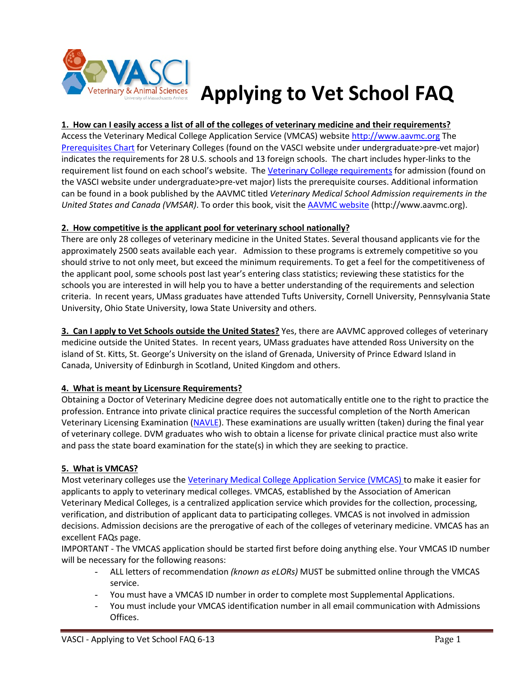

# **Applying to Vet School FAQ**

## **1. How can I easily access a list of all of the colleges of veterinary medicine and their requirements?**

Access the Veterinary Medical College Application Service (VMCAS) website [http://www.aavmc.org](http://www.aavmc.org/) The [Prerequisites Chart](https://www.vasci.umass.edu/sites/vasci/files/college_prereq_website.pdf) for Veterinary Colleges (found on the VASCI website under undergraduate>pre-vet major) indicates the requirements for 28 U.S. schools and 13 foreign schools. The chart includes hyper-links to the requirement list found on each school's website. Th[e Veterinary College requirements](https://www.vasci.umass.edu/sites/vasci/files/veterinary_college_prerequisites_-_u.s._universities.pdf) for admission (found on the VASCI website under undergraduate>pre-vet major) lists the prerequisite courses. Additional information can be found in a book published by the AAVMC titled *Veterinary Medical School Admission requirements in the United States and Canada (VMSAR)*. To order this book, visit th[e AAVMC website](http://www.aavmc.org/) (http://www.aavmc.org).

#### **2. How competitive is the applicant pool for veterinary school nationally?**

There are only 28 colleges of veterinary medicine in the United States. Several thousand applicants vie for the approximately 2500 seats available each year. Admission to these programs is extremely competitive so you should strive to not only meet, but exceed the minimum requirements. To get a feel for the competitiveness of the applicant pool, some schools post last year's entering class statistics; reviewing these statistics for the schools you are interested in will help you to have a better understanding of the requirements and selection criteria. In recent years, UMass graduates have attended Tufts University, Cornell University, Pennsylvania State University, Ohio State University, Iowa State University and others.

**3. Can I apply to Vet Schools outside the United States?** Yes, there are AAVMC approved colleges of veterinary medicine outside the United States. In recent years, UMass graduates have attended Ross University on the island of St. Kitts, St. George's University on the island of Grenada, University of Prince Edward Island in Canada, University of Edinburgh in Scotland, United Kingdom and others.

## **4. What is meant by Licensure Requirements?**

Obtaining a Doctor of Veterinary Medicine degree does not automatically entitle one to the right to practice the profession. Entrance into private clinical practice requires the successful completion of the North American Veterinary Licensing Examination [\(NAVLE\)](http://www.nbvme.org/?id=12&page=NAVLE). These examinations are usually written (taken) during the final year of veterinary college. DVM graduates who wish to obtain a license for private clinical practice must also write and pass the state board examination for the state(s) in which they are seeking to practice.

## **5. What is VMCAS?**

Most veterinary colleges use the [Veterinary Medical College Application Service \(VMCAS\) t](https://www.vmcas.org/)o make it easier for applicants to apply to veterinary medical colleges. VMCAS, established by the Association of American Veterinary Medical Colleges, is a centralized application service which provides for the collection, processing, verification, and distribution of applicant data to participating colleges. VMCAS is not involved in admission decisions. Admission decisions are the prerogative of each of the colleges of veterinary medicine. VMCAS has an excellent FAQs page.

IMPORTANT - The VMCAS application should be started first before doing anything else. Your VMCAS ID number will be necessary for the following reasons:

- ALL letters of recommendation *(known as eLORs)* MUST be submitted online through the VMCAS service.
- You must have a VMCAS ID number in order to complete most Supplemental Applications.
- You must include your VMCAS identification number in all email communication with Admissions Offices.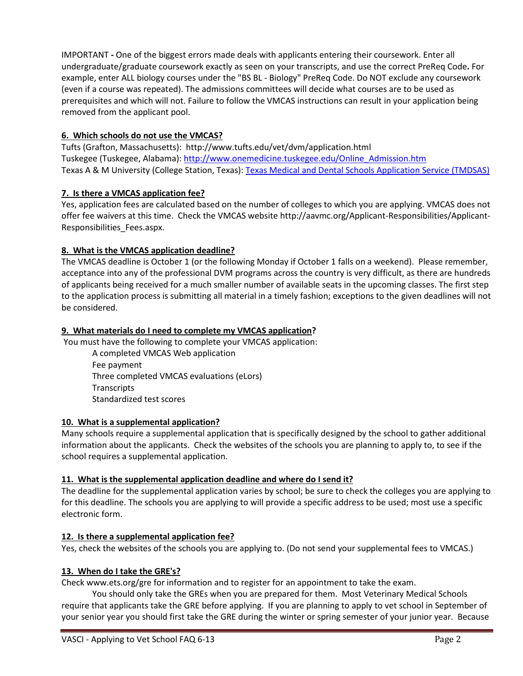IMPORTANT **-** One of the biggest errors made deals with applicants entering their coursework. Enter all undergraduate/graduate coursework exactly as seen on your transcripts, and use the correct PreReq Code**.** For example, enter ALL biology courses under the "BS BL - Biology" PreReq Code. Do NOT exclude any coursework (even if a course was repeated). The admissions committees will decide what courses are to be used as prerequisites and which will not. Failure to follow the VMCAS instructions can result in your application being removed from the applicant pool.

# **6. Which schools do not use the VMCAS?**

Tufts (Grafton, Massachusetts): http://www.tufts.edu/vet/dvm/application.html Tuskegee (Tuskegee, Alabama): [http://www.onemedicine.tuskegee.edu/Online\\_Admission.htm](http://www.onemedicine.tuskegee.edu/Online_Admission.htm)  Texas A & M University (College Station, Texas): Texas Medical and Dental Schools Application Service (TMDSAS)

# **7. Is there a VMCAS application fee?**

Yes, application fees are calculated based on the number of colleges to which you are applying. VMCAS does not offer fee waivers at this time. Check the VMCAS website http://aavmc.org/Applicant-Responsibilities/Applicant-Responsibilities\_Fees.aspx.

# **8. What is the VMCAS application deadline?**

The VMCAS deadline is October 1 (or the following Monday if October 1 falls on a weekend). Please remember, acceptance into any of the professional DVM programs across the country is very difficult, as there are hundreds of applicants being received for a much smaller number of available seats in the upcoming classes. The first step to the application process is submitting all material in a timely fashion; exceptions to the given deadlines will not be considered.

## **9. What materials do I need to complete my VMCAS application?**

You must have the following to complete your VMCAS application:

A completed VMCAS Web application Fee payment Three completed VMCAS evaluations (eLors) **Transcripts** Standardized test scores

## **10. What is a supplemental application?**

Many schools require a supplemental application that is specifically designed by the school to gather additional information about the applicants. Check the websites of the schools you are planning to apply to, to see if the school requires a supplemental application.

## **11. What is the supplemental application deadline and where do I send it?**

The deadline for the supplemental application varies by school; be sure to check the colleges you are applying to for this deadline. The schools you are applying to will provide a specific address to be used; most use a specific electronic form.

## **12. Is there a supplemental application fee?**

Yes, check the websites of the schools you are applying to. (Do not send your supplemental fees to VMCAS.)

## **13. When do I take the GRE's?**

Check www.ets.org/gre for information and to register for an appointment to take the exam.

You should only take the GREs when you are prepared for them. Most Veterinary Medical Schools require that applicants take the GRE before applying. If you are planning to apply to vet school in September of your senior year you should first take the GRE during the winter or spring semester of your junior year. Because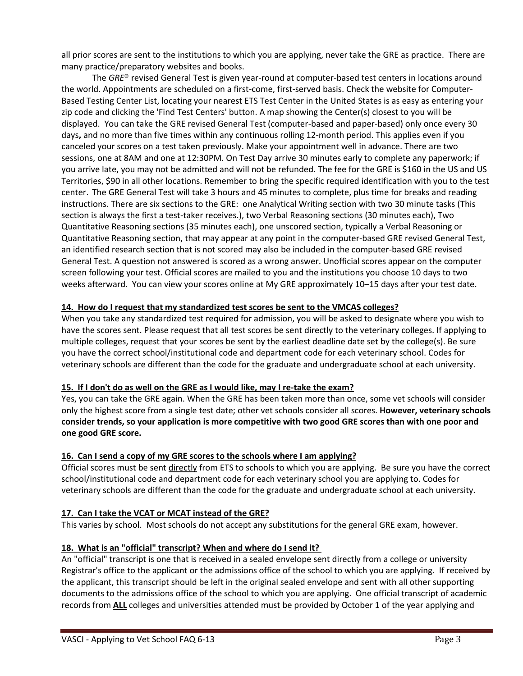all prior scores are sent to the institutions to which you are applying, never take the GRE as practice. There are many practice/preparatory websites and books.

The *GRE*® revised General Test is given year-round at computer-based test centers in locations around the world. Appointments are scheduled on a first-come, first-served basis. Check the website for Computer-Based Testing Center List, locating your nearest ETS Test Center in the United States is as easy as entering your zip code and clicking the 'Find Test Centers' button. A map showing the Center(s) closest to you will be displayed. You can take the GRE revised General Test (computer-based and paper-based) only once every 30 days**,** and no more than five times within any continuous rolling 12-month period. This applies even if you canceled your scores on a test taken previously. Make your appointment well in advance. There are two sessions, one at 8AM and one at 12:30PM. On Test Day arrive 30 minutes early to complete any paperwork; if you arrive late, you may not be admitted and will not be refunded. The fee for the GRE is \$160 in the US and US Territories, \$90 in all other locations. Remember to bring the specific required identification with you to the test center. The GRE General Test will take 3 hours and 45 minutes to complete, plus time for breaks and reading instructions. There are six sections to the GRE: one Analytical Writing section with two 30 minute tasks (This section is always the first a test-taker receives.), two Verbal Reasoning sections (30 minutes each), Two Quantitative Reasoning sections (35 minutes each), one unscored section, typically a Verbal Reasoning or Quantitative Reasoning section, that may appear at any point in the computer-based GRE revised General Test, an identified research section that is not scored may also be included in the computer-based GRE revised General Test. A question not answered is scored as a wrong answer. Unofficial scores appear on the computer screen following your test. Official scores are mailed to you and the institutions you choose 10 days to two weeks afterward. You can [view your scores online](http://www.ets.org/mygre) at My GRE approximately 10–15 days after your test date.

#### **14. How do I request that my standardized test scores be sent to the VMCAS colleges?**

When you take any standardized test required for admission, you will be asked to designate where you wish to have the scores sent. Please request that all test scores be sent directly to the veterinary colleges. If applying to multiple colleges, request that your scores be sent by the earliest deadline date set by the college(s). Be sure you have the correct school/institutional code and department code for each veterinary school. Codes for veterinary schools are different than the code for the graduate and undergraduate school at each university.

#### **15. If I don't do as well on the GRE as I would like, may I re-take the exam?**

Yes, you can take the GRE again. When the GRE has been taken more than once, some vet schools will consider only the highest score from a single test date; other vet schools consider all scores. **However, veterinary schools consider trends, so your application is more competitive with two good GRE scores than with one poor and one good GRE score.** 

#### **16. Can I send a copy of my GRE scores to the schools where I am applying?**

Official scores must be sent directly from ETS to schools to which you are applying. Be sure you have the correct school/institutional code and department code for each veterinary school you are applying to. Codes for veterinary schools are different than the code for the graduate and undergraduate school at each university.

#### **17. [Can I take the VCAT or MCAT instead of the GRE?](http://www.vetmed.wsu.edu/prospectivestudents/Faq.aspx)**

This varies by school. Most schools do not accept any substitutions for the general GRE exam, however.

#### **18. What is an "official" transcript? When and where do I send it?**

An "official" transcript is one that is received in a sealed envelope sent directly from a college or university Registrar's office to the applicant or the admissions office of the school to which you are applying. If received by the applicant, this transcript should be left in the original sealed envelope and sent with all other supporting documents to the admissions office of the school to which you are applying. One official transcript of academic records from **ALL** colleges and universities attended must be provided by October 1 of the year applying and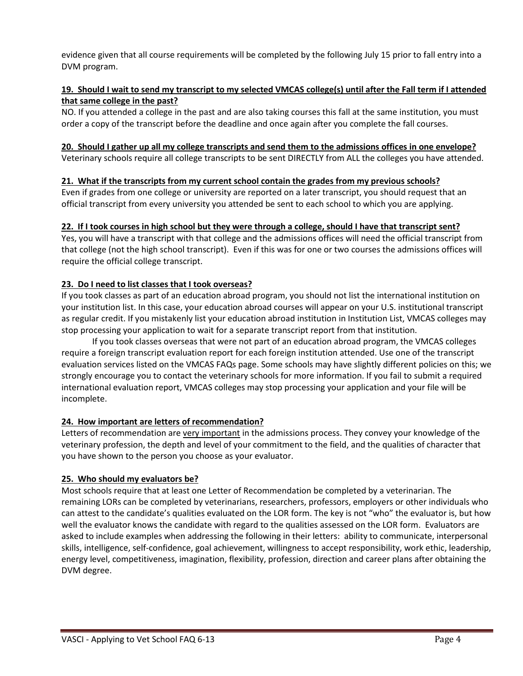evidence given that all course requirements will be completed by the following July 15 prior to fall entry into a DVM program.

## **19. Should I wait to send my transcript to my selected VMCAS college(s) until after the Fall term if I attended that same college in the past?**

NO. If you attended a college in the past and are also taking courses this fall at the same institution, you must order a copy of the transcript before the deadline and once again after you complete the fall courses.

#### **20. Should I gather up all my college transcripts and send them to the admissions offices in one envelope?**

Veterinary schools require all college transcripts to be sent DIRECTLY from ALL the colleges you have attended.

## **21. What if the transcripts from my current school contain the grades from my previous schools?**

Even if grades from one college or university are reported on a later transcript, you should request that an official transcript from every university you attended be sent to each school to which you are applying.

#### **22. If I took courses in high school but they were through a college, should I have that transcript sent?**

Yes, you will have a transcript with that college and the admissions offices will need the official transcript from that college (not the high school transcript). Even if this was for one or two courses the admissions offices will require the official college transcript.

## **23. Do I need to list classes that I took overseas?**

If you took classes as part of an education abroad program, you should not list the international institution on your institution list. In this case, your education abroad courses will appear on your U.S. institutional transcript as regular credit. If you mistakenly list your education abroad institution in Institution List, VMCAS colleges may stop processing your application to wait for a separate transcript report from that institution.

If you took classes overseas that were not part of an education abroad program, the VMCAS colleges require a foreign transcript evaluation report for each foreign institution attended. Use one of the transcript evaluation services listed on the VMCAS FAQs page. Some schools may have slightly different policies on this; we strongly encourage you to contact the veterinary schools for more information. If you fail to submit a required international evaluation report, VMCAS colleges may stop processing your application and your file will be incomplete.

## **24. How important are letters of recommendation?**

Letters of recommendation are very important in the admissions process. They convey your knowledge of the veterinary profession, the depth and level of your commitment to the field, and the qualities of character that you have shown to the person you choose as your evaluator.

## **25. Who should my evaluators be?**

Most schools require that at least one Letter of Recommendation be completed by a veterinarian. The remaining LORs can be completed by veterinarians, researchers, professors, employers or other individuals who can attest to the candidate's qualities evaluated on the LOR form. The key is not "who" the evaluator is, but how well the evaluator knows the candidate with regard to the qualities assessed on the LOR form. Evaluators are asked to include examples when addressing the following in their letters: ability to communicate, interpersonal skills, intelligence, self-confidence, goal achievement, willingness to accept responsibility, work ethic, leadership, energy level, competitiveness, imagination, flexibility, profession, direction and career plans after obtaining the DVM degree.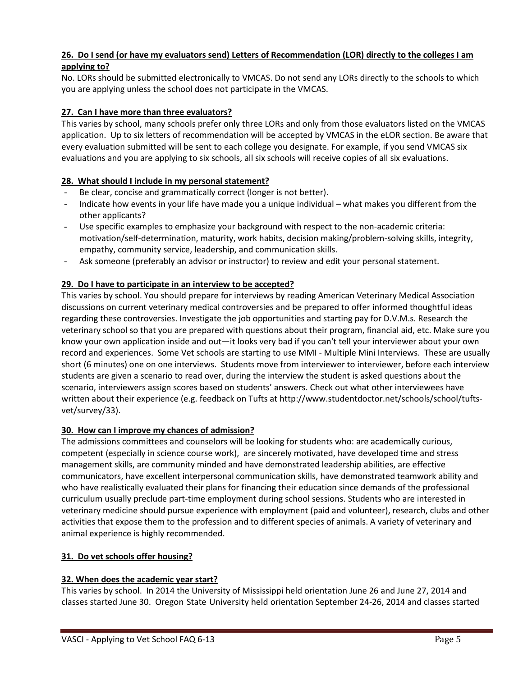# **26. Do I send (or have my evaluators send) Letters of Recommendation (LOR) directly to the colleges I am applying to?**

No. LORs should be submitted electronically to VMCAS. Do not send any LORs directly to the schools to which you are applying unless the school does not participate in the VMCAS.

# **27. Can I have more than three evaluators?**

This varies by school, many schools prefer only three LORs and only from those evaluators listed on the VMCAS application. Up to six letters of recommendation will be accepted by VMCAS in the eLOR section. Be aware that every evaluation submitted will be sent to each college you designate. For example, if you send VMCAS six evaluations and you are applying to six schools, all six schools will receive copies of all six evaluations.

## **28. What should I include in my personal statement?**

- Be clear, concise and grammatically correct (longer is not better).
- Indicate how events in your life have made you a unique individual what makes you different from the other applicants?
- Use specific examples to emphasize your background with respect to the non-academic criteria: motivation/self-determination, maturity, work habits, decision making/problem-solving skills, integrity, empathy, community service, leadership, and communication skills.
- Ask someone (preferably an advisor or instructor) to review and edit your personal statement.

# **29. Do I have to participate in an interview to be accepted?**

This varies by school. You should prepare for interviews by reading American Veterinary Medical Association discussions on current veterinary medical controversies and be prepared to offer informed thoughtful ideas regarding these controversies. Investigate the job opportunities and starting pay for D.V.M.s. Research the veterinary school so that you are prepared with questions about their program, financial aid, etc. Make sure you know your own application inside and out—it looks very bad if you can't tell your interviewer about your own record and experiences. Some Vet schools are starting to use MMI - Multiple Mini Interviews. These are usually short (6 minutes) one on one interviews. Students move from interviewer to interviewer, before each interview students are given a scenario to read over, during the interview the student is asked questions about the scenario, interviewers assign scores based on students' answers. Check out what other interviewees have written about their experience (e.g. feedback on Tufts at http://www.studentdoctor.net/schools/school/tuftsvet/survey/33).

## **30. How can I improve my chances of admission?**

The admissions committees and counselors will be looking for students who: are academically curious, competent (especially in science course work), are sincerely motivated, have developed time and stress management skills, are community minded and have demonstrated leadership abilities, are effective communicators, have excellent interpersonal communication skills, have demonstrated teamwork ability and who have realistically evaluated their plans for financing their education since demands of the professional curriculum usually preclude part-time employment during school sessions. Students who are interested in veterinary medicine should pursue experience with employment (paid and volunteer), research, clubs and other activities that expose them to the profession and to different species of animals. A variety of veterinary and animal experience is highly recommended.

## **31. Do vet schools offer housing?**

## **32. When does the academic year start?**

This varies by school. In 2014 the University of Mississippi held orientation June 26 and June 27, 2014 and classes started June 30. Oregon State University held orientation September 24-26, 2014 and classes started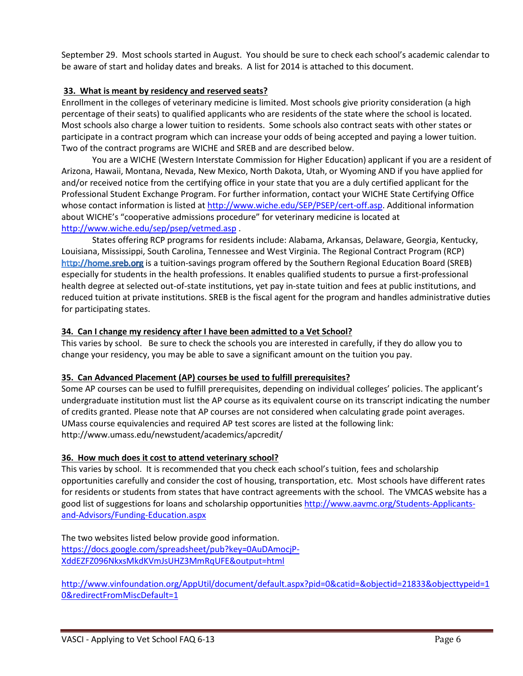September 29. Most schools started in August. You should be sure to check each school's academic calendar to be aware of start and holiday dates and breaks. A list for 2014 is attached to this document.

## **33. What is meant by residency and reserved seats?**

Enrollment in the colleges of veterinary medicine is limited. Most schools give priority consideration (a high percentage of their seats) to qualified applicants who are residents of the state where the school is located. Most schools also charge a lower tuition to residents. Some schools also contract seats with other states or participate in a contract program which can increase your odds of being accepted and paying a lower tuition. Two of the contract programs are WICHE and SREB and are described below.

You are a WICHE (Western Interstate Commission for Higher Education) applicant if you are a resident of Arizona, Hawaii, Montana, Nevada, New Mexico, North Dakota, Utah, or Wyoming AND if you have applied for and/or received notice from the certifying office in your state that you are a duly certified applicant for the Professional Student Exchange Program. For further information, contact your WICHE State Certifying Office whose contact information is listed at [http://www.wiche.edu/SEP/PSEP/cert-off.asp.](http://www.wiche.edu/SEP/PSEP/cert-off.asp) Additional information about WICHE's "cooperative admissions procedure" for veterinary medicine is located at <http://www.wiche.edu/sep/psep/vetmed.asp> .

States offering RCP programs for residents include: Alabama, Arkansas, Delaware, Georgia, Kentucky, Louisiana, Mississippi, South Carolina, Tennessee and West Virginia. The Regional Contract Program (RCP) http://home.sreb.org is a tuition-savings program offered by the Southern Regional Education Board (SREB) especially for students in the health professions. It enables qualified students to pursue a first-professional health degree at selected out-of-state institutions, yet pay in-state tuition and fees at public institutions, and reduced tuition at private institutions. SREB is the fiscal agent for the program and handles administrative duties for participating states.

#### **34. Can I change my residency after I have been admitted to a Vet School?**

This varies by school. Be sure to check the schools you are interested in carefully, if they do allow you to change your residency, you may be able to save a significant amount on the tuition you pay.

#### **35. Can Advanced Placement (AP) courses be used to fulfill prerequisites?**

Some AP courses can be used to fulfill prerequisites, depending on individual colleges' policies. The applicant's undergraduate institution must list the AP course as its equivalent course on its transcript indicating the number of credits granted. Please note that AP courses are not considered when calculating grade point averages. UMass course equivalencies and required AP test scores are listed at the following link: http://www.umass.edu/newstudent/academics/apcredit/

#### **36. How much does it cost to attend veterinary school?**

This varies by school. It is recommended that you check each school's tuition, fees and scholarship opportunities carefully and consider the cost of housing, transportation, etc. Most schools have different rates for residents or students from states that have contract agreements with the school. The VMCAS website has a good list of suggestions for loans and scholarship opportunities [http://www.aavmc.org/Students-Applicants](http://www.aavmc.org/Students-Applicants-and-Advisors/Funding-Education.aspx)[and-Advisors/Funding-Education.aspx](http://www.aavmc.org/Students-Applicants-and-Advisors/Funding-Education.aspx)

The two websites listed below provide good information. [https://docs.google.com/spreadsheet/pub?key=0AuDAmocjP-](https://docs.google.com/spreadsheet/pub?key=0AuDAmocjP-XddEZFZ096NkxsMkdKVmJsUHZ3MmRqUFE&output=html)[XddEZFZ096NkxsMkdKVmJsUHZ3MmRqUFE&output=html](https://docs.google.com/spreadsheet/pub?key=0AuDAmocjP-XddEZFZ096NkxsMkdKVmJsUHZ3MmRqUFE&output=html)

[http://www.vinfoundation.org/AppUtil/document/default.aspx?pid=0&catid=&objectid=21833&objecttypeid=1](http://www.vinfoundation.org/AppUtil/document/default.aspx?pid=0&catid=&objectid=21833&objecttypeid=10&redirectFromMiscDefault=1) [0&redirectFromMiscDefault=1](http://www.vinfoundation.org/AppUtil/document/default.aspx?pid=0&catid=&objectid=21833&objecttypeid=10&redirectFromMiscDefault=1)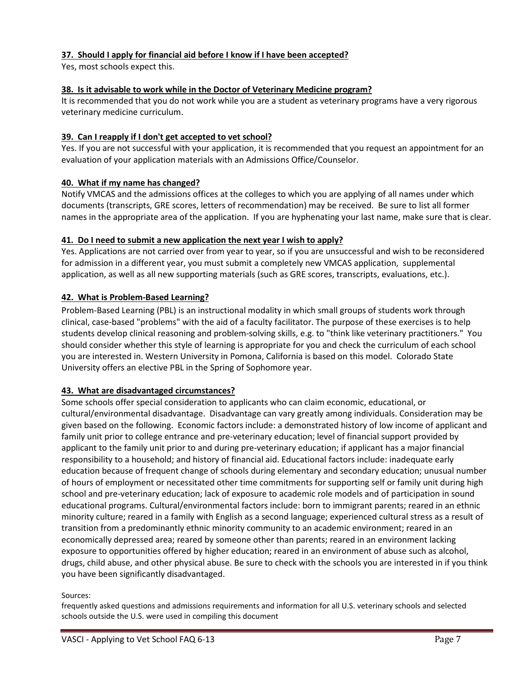# **37. [Should I apply for financial aid before I know if I have been accepted?](http://www.vetmed.wsu.edu/prospectivestudents/Faq.aspx)**

Yes, most schools expect this.

## **38. Is it advisable to work while in the Doctor of Veterinary Medicine program?**

It is recommended that you do not work while you are a student as veterinary programs have a very rigorous veterinary medicine curriculum.

#### **39. Can I reapply if I don't get accepted to vet school?**

Yes. If you are not successful with your application, it is recommended that you request an appointment for an evaluation of your application materials with an Admissions Office/Counselor.

#### **40. What if my name has changed?**

Notify VMCAS and the admissions offices at the colleges to which you are applying of all names under which documents (transcripts, GRE scores, letters of recommendation) may be received. Be sure to list all former names in the appropriate area of the application. If you are hyphenating your last name, make sure that is clear.

#### **41. [Do I need to submit a new application the next year I wish to apply?](http://www.vetmed.wsu.edu/prospectivestudents/Faq.aspx)**

Yes. Applications are not carried over from year to year, so if you are unsuccessful and wish to be reconsidered for admission in a different year, you must submit a completely new VMCAS application, supplemental application, as well as all new supporting materials (such as GRE scores, transcripts, evaluations, etc.).

#### **42. What is Problem-Based Learning?**

Problem-Based Learning (PBL) is an instructional modality in which small groups of students work through clinical, case-based "problems" with the aid of a faculty facilitator. The purpose of these exercises is to help students develop clinical reasoning and problem-solving skills, e.g. to "think like veterinary practitioners." You should consider whether this style of learning is appropriate for you and check the curriculum of each school you are interested in. Western University in Pomona, California is based on this model. Colorado State University offers an elective PBL in the Spring of Sophomore year.

#### **43. What are disadvantaged circumstances?**

Some schools offer special consideration to applicants who can claim economic, educational, or cultural/environmental disadvantage. Disadvantage can vary greatly among individuals. Consideration may be given based on the following. Economic factors include: a demonstrated history of low income of applicant and family unit prior to college entrance and pre-veterinary education; level of financial support provided by applicant to the family unit prior to and during pre-veterinary education; if applicant has a major financial responsibility to a household; and history of financial aid. Educational factors include: inadequate early education because of frequent change of schools during elementary and secondary education; unusual number of hours of employment or necessitated other time commitments for supporting self or family unit during high school and pre-veterinary education; lack of exposure to academic role models and of participation in sound educational programs. Cultural/environmental factors include: born to immigrant parents; reared in an ethnic minority culture; reared in a family with English as a second language; experienced cultural stress as a result of transition from a predominantly ethnic minority community to an academic environment; reared in an economically depressed area; reared by someone other than parents; reared in an environment lacking exposure to opportunities offered by higher education; reared in an environment of abuse such as alcohol, drugs, child abuse, and other physical abuse. Be sure to check with the schools you are interested in if you think you have been significantly disadvantaged.

#### Sources:

frequently asked questions and admissions requirements and information for all U.S. veterinary schools and selected schools outside the U.S. were used in compiling this document